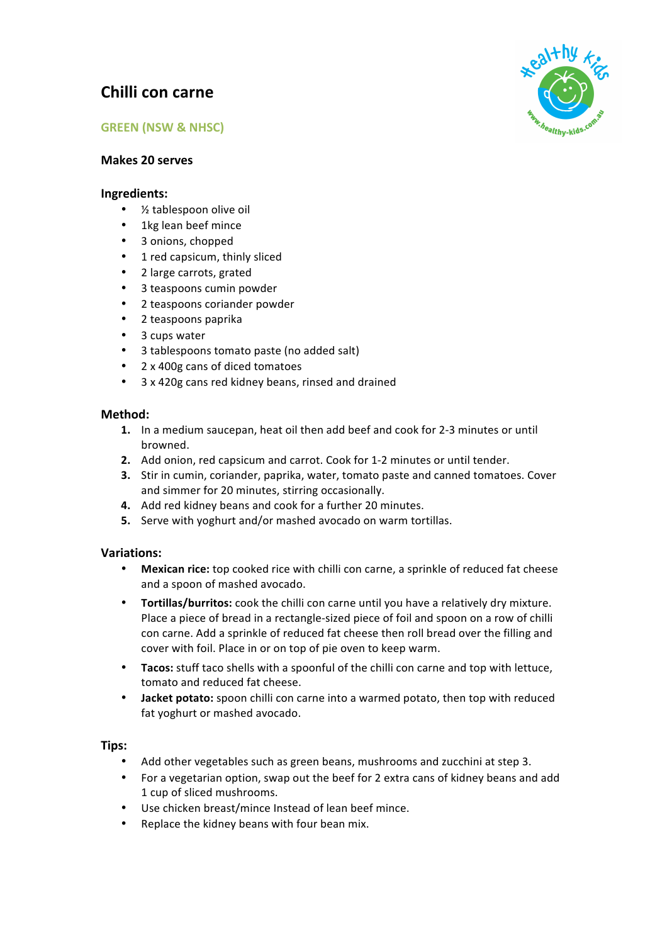# **Chilli con carne**





## **Makes 20 serves**

### **Ingredients:**

- $\bullet$  % tablespoon olive oil
- 1kg lean beef mince
- 3 onions, chopped
- 1 red capsicum, thinly sliced
- 2 large carrots, grated
- 3 teaspoons cumin powder
- 2 teaspoons coriander powder
- 2 teaspoons paprika
- 3 cups water
- 3 tablespoons tomato paste (no added salt)
- 2 x 400g cans of diced tomatoes
- 3 x 420g cans red kidney beans, rinsed and drained

## **Method:**

- **1.** In a medium saucepan, heat oil then add beef and cook for 2-3 minutes or until browned.
- **2.** Add onion, red capsicum and carrot. Cook for 1-2 minutes or until tender.
- **3.** Stir in cumin, coriander, paprika, water, tomato paste and canned tomatoes. Cover and simmer for 20 minutes, stirring occasionally.
- **4.** Add red kidney beans and cook for a further 20 minutes.
- **5.** Serve with yoghurt and/or mashed avocado on warm tortillas.

### **Variations:**

- Mexican rice: top cooked rice with chilli con carne, a sprinkle of reduced fat cheese and a spoon of mashed avocado.
- **Tortillas/burritos:** cook the chilli con carne until you have a relatively dry mixture. Place a piece of bread in a rectangle-sized piece of foil and spoon on a row of chilli con carne. Add a sprinkle of reduced fat cheese then roll bread over the filling and cover with foil. Place in or on top of pie oven to keep warm.
- Tacos: stuff taco shells with a spoonful of the chilli con carne and top with lettuce, tomato and reduced fat cheese.
- **Jacket potato:** spoon chilli con carne into a warmed potato, then top with reduced fat yoghurt or mashed avocado.

# **Tips:**

- Add other vegetables such as green beans, mushrooms and zucchini at step 3.
- For a vegetarian option, swap out the beef for 2 extra cans of kidney beans and add 1 cup of sliced mushrooms.
- Use chicken breast/mince Instead of lean beef mince.
- Replace the kidney beans with four bean mix.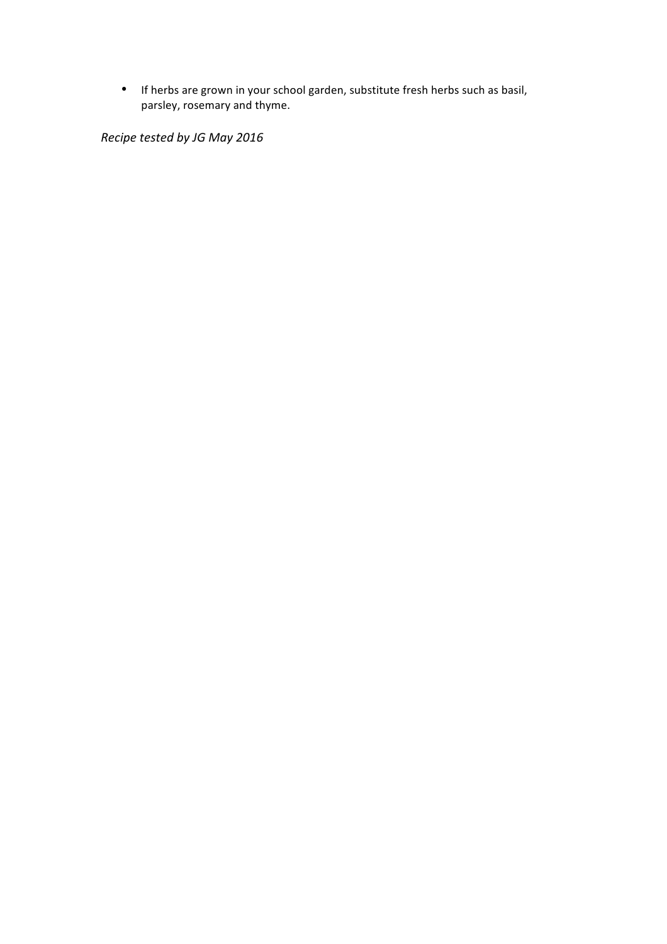• If herbs are grown in your school garden, substitute fresh herbs such as basil, parsley, rosemary and thyme.

*Recipe tested by JG May 2016*